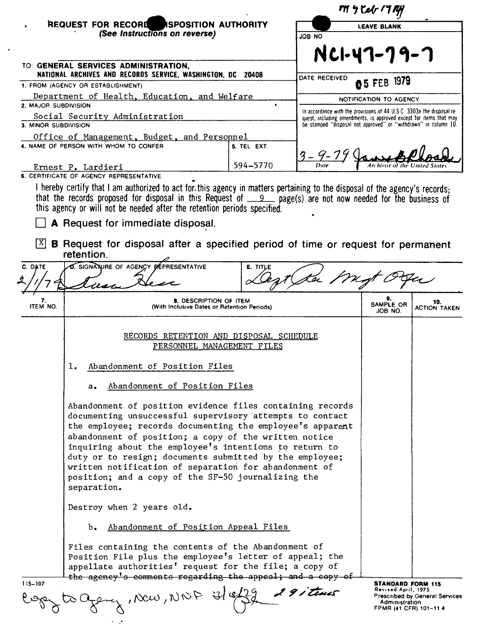|                      |                                                                                                                                                                                                                                                                                                                                                                                                                                                                                                                                                                                                                                                                                                                                                                                                                                                    |             |                                                                                                                                                                                                                | My Celr 1774                                                    |                                       |
|----------------------|----------------------------------------------------------------------------------------------------------------------------------------------------------------------------------------------------------------------------------------------------------------------------------------------------------------------------------------------------------------------------------------------------------------------------------------------------------------------------------------------------------------------------------------------------------------------------------------------------------------------------------------------------------------------------------------------------------------------------------------------------------------------------------------------------------------------------------------------------|-------------|----------------------------------------------------------------------------------------------------------------------------------------------------------------------------------------------------------------|-----------------------------------------------------------------|---------------------------------------|
|                      | REQUEST FOR RECORD ASPOSITION AUTHORITY                                                                                                                                                                                                                                                                                                                                                                                                                                                                                                                                                                                                                                                                                                                                                                                                            |             |                                                                                                                                                                                                                | <b>LEAVE BLANK</b>                                              |                                       |
|                      | (See Instructions on reverse)                                                                                                                                                                                                                                                                                                                                                                                                                                                                                                                                                                                                                                                                                                                                                                                                                      |             | <b>ON 8OL</b>                                                                                                                                                                                                  |                                                                 |                                       |
|                      |                                                                                                                                                                                                                                                                                                                                                                                                                                                                                                                                                                                                                                                                                                                                                                                                                                                    |             |                                                                                                                                                                                                                | NCI-47-79-7                                                     |                                       |
|                      | TO: GENERAL SERVICES ADMINISTRATION,<br>NATIONAL ARCHIVES AND RECORDS SERVICE, WASHINGTON, DC 20408                                                                                                                                                                                                                                                                                                                                                                                                                                                                                                                                                                                                                                                                                                                                                |             | DATE RECEIVED                                                                                                                                                                                                  |                                                                 |                                       |
|                      | 1. FROM (AGENCY OR ESTABLISHMENT)                                                                                                                                                                                                                                                                                                                                                                                                                                                                                                                                                                                                                                                                                                                                                                                                                  |             |                                                                                                                                                                                                                | 05 FEB 1979                                                     |                                       |
| 2. MAJOR SUBDIVISION | Department of Health, Education, and Welfare                                                                                                                                                                                                                                                                                                                                                                                                                                                                                                                                                                                                                                                                                                                                                                                                       |             |                                                                                                                                                                                                                | NOTIFICATION TO AGENCY                                          |                                       |
| 3. MINOR SUBDIVISION | Social Security Administration                                                                                                                                                                                                                                                                                                                                                                                                                                                                                                                                                                                                                                                                                                                                                                                                                     |             | In accordance with the provisions of 44 U.S.C. 3303a the disposal re-<br>quest, including amendments, is approved except for items that may<br>be stamped "disposal not approved" or "withdrawn" in column 10. |                                                                 |                                       |
|                      | Office of Management, Budget, and Personnel                                                                                                                                                                                                                                                                                                                                                                                                                                                                                                                                                                                                                                                                                                                                                                                                        |             |                                                                                                                                                                                                                |                                                                 |                                       |
|                      | 4. NAME OF PERSON WITH WHOM TO CONFER                                                                                                                                                                                                                                                                                                                                                                                                                                                                                                                                                                                                                                                                                                                                                                                                              | 5. TEL EXT. |                                                                                                                                                                                                                |                                                                 |                                       |
|                      |                                                                                                                                                                                                                                                                                                                                                                                                                                                                                                                                                                                                                                                                                                                                                                                                                                                    | 594-5770    | $3 - 9 - 74$                                                                                                                                                                                                   |                                                                 |                                       |
|                      | Ernest P. Lardieri<br>6. CERTIFICATE OF AGENCY REPRESENTATIVE                                                                                                                                                                                                                                                                                                                                                                                                                                                                                                                                                                                                                                                                                                                                                                                      |             |                                                                                                                                                                                                                |                                                                 |                                       |
|                      | I hereby certify that I am authorized to act for this agency in matters pertaining to the disposal of the agency's records:<br>that the records proposed for disposal in this Request of 900 mage(s) are not now needed for the business of<br>this agency or will not be needed after the retention periods specified.<br>A Request for immediate disposal.                                                                                                                                                                                                                                                                                                                                                                                                                                                                                       |             |                                                                                                                                                                                                                |                                                                 |                                       |
| X                    | B Request for disposal after a specified period of time or request for permanent<br>retention.                                                                                                                                                                                                                                                                                                                                                                                                                                                                                                                                                                                                                                                                                                                                                     |             |                                                                                                                                                                                                                |                                                                 |                                       |
| C. DATE              | <b>D. SIGNATURE OF AGENCY REPRESENTATIVE</b>                                                                                                                                                                                                                                                                                                                                                                                                                                                                                                                                                                                                                                                                                                                                                                                                       | E. TITLE    |                                                                                                                                                                                                                |                                                                 |                                       |
|                      |                                                                                                                                                                                                                                                                                                                                                                                                                                                                                                                                                                                                                                                                                                                                                                                                                                                    |             |                                                                                                                                                                                                                |                                                                 |                                       |
| 7.<br>ITEM NO.       | <b>8. DESCRIPTION OF ITEM</b><br>(With Inclusive Dates or Retention Periods)                                                                                                                                                                                                                                                                                                                                                                                                                                                                                                                                                                                                                                                                                                                                                                       |             |                                                                                                                                                                                                                | SAMPLE OR<br>JOB NO.                                            | 10.<br><b>ACTION TAKEN</b>            |
|                      | RECORDS RETENTION AND DISPOSAL SCHEDULE<br>PERSONNEL MANAGEMENT FILES<br>Abandonment of Position Files<br>ı.<br>Abandonment of Position Files<br>а.<br>Abandonment of position evidence files containing records<br>documenting unsuccessful supervisory attempts to contact<br>the employee; records documenting the employee's apparent<br>abandonment of position; a copy of the written notice<br>inquiring about the employee's intentions to return to<br>duty or to resign; documents submitted by the employee;<br>written notification of separation for abandonment of<br>position; and a copy of the SF-50 journalizing the<br>separation.<br>Destroy when 2 years old.<br>Abandonment of Position Appeal Files<br>ь.<br>Files containing the contents of the Abandonment of<br>Position File plus the employee's letter of appeal; the |             |                                                                                                                                                                                                                |                                                                 |                                       |
| $115 - 107$          | appellate authorities' request for the file; a copy of<br>the agency's comments regarding the appeal; and a copy of                                                                                                                                                                                                                                                                                                                                                                                                                                                                                                                                                                                                                                                                                                                                |             |                                                                                                                                                                                                                | STANDARD FORM 115                                               |                                       |
|                      | Alb 70M, War,                                                                                                                                                                                                                                                                                                                                                                                                                                                                                                                                                                                                                                                                                                                                                                                                                                      |             | 291 tenes                                                                                                                                                                                                      | Revised April, 1975<br>Administration<br>FPMR (41 CFR) 101-11 4 | <b>Prescribed by General Services</b> |

 $\sim$   $\sim$ 

 $\ddot{\phantom{0}}$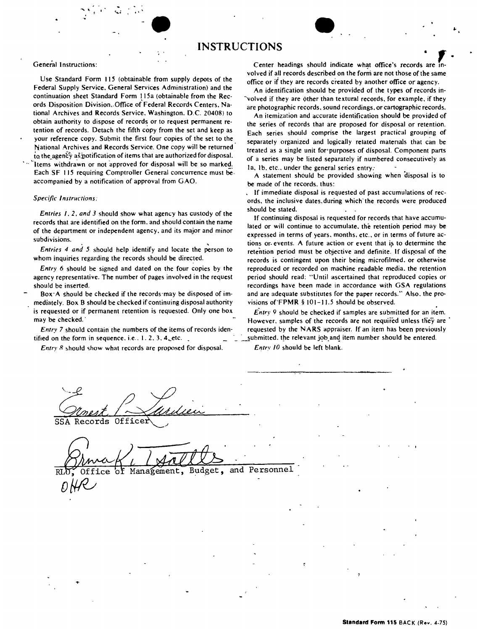## **INSTRUCTIONS**

Use Standard Form 115 (obtainable from supply depots of the<br>Federal Supply Service, General Services Administration) and the<br>Continuation should be provided of the types of records in-<br>Continuation sheet Standard Form 115a continuation sheet Standard Form 1154 (obtainable from the Rec-<br>ords Disposition Division. Office of Federal Records Centers, Na-<br>tional Archives and Records Service, Washington, D.C. 20408) to an itemization and accurate tional Archives and Records Service. Washington. D.C. 20408) to' An itemization and accurate identification should be provided of obtain authority to dispose of records or to request permanent re-<br>tention of records. Detach the fifth copy from the set and keep as<br> $\frac{1}{2}$  reads are proposed the largest processes of resolution of the largest proctica tention of records. Detach the fifth copy from the set and keep as Each series should comprise the largest practical grouping of your reference copy. Submit the first four copies of the set to the connectable grouping of s National Archives and Records Service. One copy will be returned<br>to the agency as position of items that are authorized for disposal.<br>Items withdrawn or not approved for disposal will be so marked.<br>Each SF 115 requiring Co accompanied by a notification of approval from GAO.

 $\bullet$ 

Entries 1, 2, and 3 should show what agency has custody of the<br>records that are identified on the form, and should contain the name<br>of the department or independent agency, and its major and minor<br>subdivisions.

agency representative. The number of pages involved in the request period should read: "Until ascertained that reproduced copies or

mediately. Box B should be checked if continuing disposal authority visions of FPMR § 101-11.5 should be observed. is requested or if permanent retention is requested. Only one box *Entry 9* should be checked if samples are submitted for an item.

tified on the form in sequence. i.e.. 1.2.3. 4Letc. . .\_ :....!iubmitted. the relevant joband item number should be entered.

*Entry 8* should show what records are proposed for disposal. *Entry 10* should be left blank.

General Instructions: Center headings should indicate what office's records are in-

**•** 

your reference copy, Submit the first four copies of the set to the separately organized and logically related materials that can be separately organized and logically related materials that can be National Archives and Re

be made of the records, thus:

. If immediate disposal is requested of past accumulations of rec- *Specific Instructions:* ords, the inclusive dates.during which' the records were produced

tions or events. A future action or event that is to determine the **Entries** 4 and 5 should help identify and locate the person to retention period must be objective and definite. If disposal of the vhom inquiries regarding the records should be directed. records is contingent upon their being microfilmed, or otherwise *Entry* 6 should be signed and dated on the four copies by the reproduced or recorded on machine readable media. the retention should be inserted. The state of the state of the cordings have been made in accordance with GSA regulations Box-A should be checked if the records may be disposed of im- and are adequate substitutes for the paper records." Also. the pro-

may be checked. The checked intervals of the records are not required unless they are *Entry* 7 should contain the numbers of the items of records iden-<br>requested by the NARS appraiser. If an item has been previously

SSA Records Officer

Budget, and Personnel Office Management,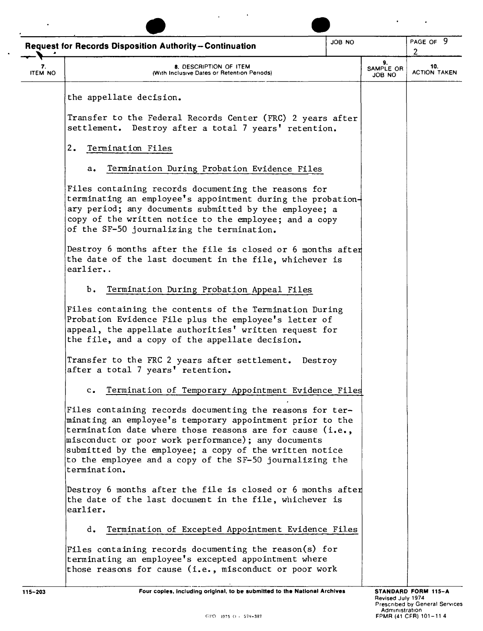|                      | ON 8OL<br><b>Request for Records Disposition Authority-Continuation</b>                                                                                                                                                                                                                                                                                                           |  |                           | PAGE OF 9<br>2             |
|----------------------|-----------------------------------------------------------------------------------------------------------------------------------------------------------------------------------------------------------------------------------------------------------------------------------------------------------------------------------------------------------------------------------|--|---------------------------|----------------------------|
| 7.<br><b>ITEM NO</b> | 8. DESCRIPTION OF ITEM<br>(With Inclusive Dates or Retention Periods)                                                                                                                                                                                                                                                                                                             |  | 9.<br>SAMPLE OR<br>ON BOL | 10.<br><b>ACTION TAKEN</b> |
|                      | the appellate decision.                                                                                                                                                                                                                                                                                                                                                           |  |                           |                            |
|                      | Transfer to the Federal Records Center (FRC) 2 years after<br>settlement. Destroy after a total 7 years' retention.                                                                                                                                                                                                                                                               |  |                           |                            |
|                      | 2.<br>Termination Files                                                                                                                                                                                                                                                                                                                                                           |  |                           |                            |
|                      | Termination During Probation Evidence Files<br>$a_{\bullet}$                                                                                                                                                                                                                                                                                                                      |  |                           |                            |
|                      | Files containing records documenting the reasons for<br>terminating an employee's appointment during the probation+<br>ary period; any documents submitted by the employee; a<br>copy of the written notice to the employee; and a copy<br>of the SF-50 journalizing the termination.                                                                                             |  |                           |                            |
|                      | Destroy 6 months after the file is closed or 6 months after<br>the date of the last document in the file, whichever is<br>earlier                                                                                                                                                                                                                                                 |  |                           |                            |
|                      | Termination During Probation Appeal Files<br>ь.                                                                                                                                                                                                                                                                                                                                   |  |                           |                            |
|                      | Files containing the contents of the Termination During<br>Probation Evidence File plus the employee's letter of<br>appeal, the appellate authorities' written request for<br>the file, and a copy of the appellate decision.                                                                                                                                                     |  |                           |                            |
|                      | Transfer to the FRC 2 years after settlement.<br>Destroy<br>after a total 7 years' retention.                                                                                                                                                                                                                                                                                     |  |                           |                            |
|                      | c. Termination of Temporary Appointment Evidence Files                                                                                                                                                                                                                                                                                                                            |  |                           |                            |
|                      | Files containing records documenting the reasons for ter-<br>minating an employee's temporary appointment prior to the<br>termination date where those reasons are for cause (i.e.,<br>misconduct or poor work performance); any documents<br>submitted by the employee; a copy of the written notice<br>to the employee and a copy of the SF-50 journalizing the<br>termination. |  |                           |                            |
|                      | Destroy 6 months after the file is closed or 6 months after<br>the date of the last document in the file, whichever is<br>earlier.                                                                                                                                                                                                                                                |  |                           |                            |
|                      | Termination of Excepted Appointment Evidence Files<br>d.                                                                                                                                                                                                                                                                                                                          |  |                           |                            |
|                      | Files containing records documenting the reason(s) for<br>terminating an employee's excepted appointment where<br>those reasons for cause (i.e., misconduct or poor work                                                                                                                                                                                                          |  |                           |                            |
| $115 - 203$          | Four copies, including original, to be submitted to the National Archives                                                                                                                                                                                                                                                                                                         |  |                           | STANDARD FORM 115-A        |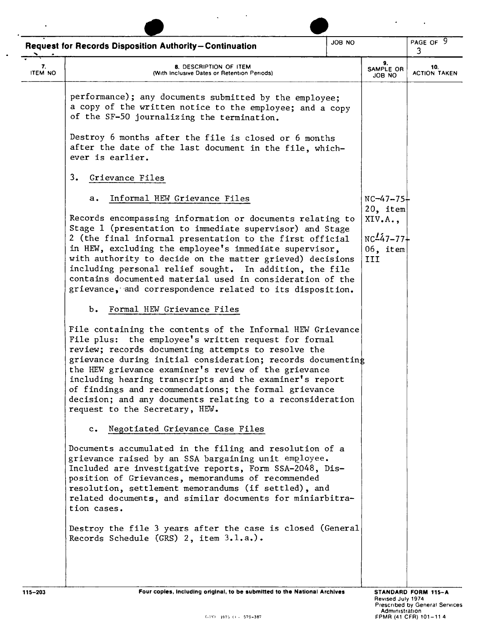|                      | JOB NO<br><b>Request for Records Disposition Authority-Continuation</b>                                                                                                                                                                                                                                                                                                                                                                                                                                             |  |                                                           | PAGE OF 9<br>3             |
|----------------------|---------------------------------------------------------------------------------------------------------------------------------------------------------------------------------------------------------------------------------------------------------------------------------------------------------------------------------------------------------------------------------------------------------------------------------------------------------------------------------------------------------------------|--|-----------------------------------------------------------|----------------------------|
| 7.<br><b>ITEM NO</b> | 8. DESCRIPTION OF ITEM<br>(With Inclusive Dates or Retention Periods)                                                                                                                                                                                                                                                                                                                                                                                                                                               |  | 9.<br>SAMPLE OR<br>JOB NO                                 | 10.<br><b>ACTION TAKEN</b> |
|                      | performance); any documents submitted by the employee;<br>a copy of the written notice to the employee; and a copy<br>of the SF-50 journalizing the termination.                                                                                                                                                                                                                                                                                                                                                    |  |                                                           |                            |
|                      | Destroy 6 months after the file is closed or 6 months<br>after the date of the last document in the file, which-<br>ever is earlier.                                                                                                                                                                                                                                                                                                                                                                                |  |                                                           |                            |
|                      | 3.<br>Grievance Files                                                                                                                                                                                                                                                                                                                                                                                                                                                                                               |  |                                                           |                            |
|                      | Informal HEW Grievance Files<br>а.                                                                                                                                                                                                                                                                                                                                                                                                                                                                                  |  | $NC - 47 - 75+$                                           |                            |
|                      | Records encompassing information or documents relating to<br>Stage 1 (presentation to immediate supervisor) and Stage<br>2 (the final informal presentation to the first official<br>in HEW, excluding the employee's immediate supervisor,<br>with authority to decide on the matter grieved) decisions<br>including personal relief sought. In addition, the file<br>contains documented material used in consideration of the<br>grievance, and correspondence related to its disposition.                       |  | 20, item<br>XIV.A.,<br>$NC_{47-77}$<br>$06$ , item<br>III |                            |
|                      | Formal HEW Grievance Files<br>ъ.                                                                                                                                                                                                                                                                                                                                                                                                                                                                                    |  |                                                           |                            |
|                      | File containing the contents of the Informal HEW Grievance<br>File plus: the employee's written request for formal<br>review; records documenting attempts to resolve the<br>grievance during initial consideration; records documenting<br>the HEW grievance examiner's review of the grievance<br>including hearing transcripts and the examiner's report<br>of findings and recommendations; the formal grievance<br>decision; and any documents relating to a reconsideration<br>request to the Secretary, HEW. |  |                                                           |                            |
|                      | c. Negotiated Grievance Case Files                                                                                                                                                                                                                                                                                                                                                                                                                                                                                  |  |                                                           |                            |
|                      | Documents accumulated in the filing and resolution of a<br>grievance raised by an SSA bargaining unit employee.<br>Included are investigative reports, Form SSA-2048, Dis-<br>position of Grievances, memorandums of recommended<br>resolution, settlement memorandums (if settled), and<br>related documents, and similar documents for miniarbitra-<br>tion cases.                                                                                                                                                |  |                                                           |                            |
|                      | Destroy the file 3 years after the case is closed (General<br>Records Schedule (GRS) $2$ , item $3.1.a.$ ).                                                                                                                                                                                                                                                                                                                                                                                                         |  |                                                           |                            |
| $115 - 203$          | Four copies, including original, to be submitted to the National Archives                                                                                                                                                                                                                                                                                                                                                                                                                                           |  |                                                           | STANDARD FORM 115-A        |

 $\ddot{\phantom{a}}$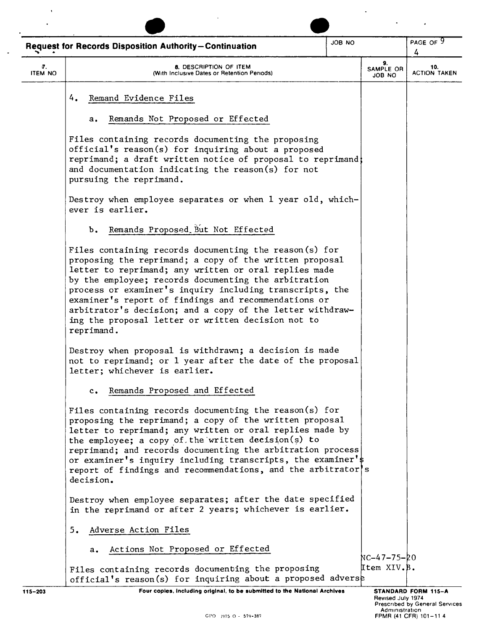|                      | <b>Request for Records Disposition Authority-Continuation</b>                                                                                                                                                                                                                                                                                                                                                                                                                            | JOB NO |                                     | PAGE OF 9<br>4                                               |  |
|----------------------|------------------------------------------------------------------------------------------------------------------------------------------------------------------------------------------------------------------------------------------------------------------------------------------------------------------------------------------------------------------------------------------------------------------------------------------------------------------------------------------|--------|-------------------------------------|--------------------------------------------------------------|--|
| 7.<br><b>ITEM NO</b> | 8. DESCRIPTION OF ITEM<br>(With Inclusive Dates or Retention Periods)                                                                                                                                                                                                                                                                                                                                                                                                                    |        | 9.<br>SAMPLE OR<br>JOB NO           | 10.<br><b>ACTION TAKEN</b>                                   |  |
|                      | Remand Evidence Files<br>4.                                                                                                                                                                                                                                                                                                                                                                                                                                                              |        |                                     |                                                              |  |
|                      | Remands Not Proposed or Effected<br>а.                                                                                                                                                                                                                                                                                                                                                                                                                                                   |        |                                     |                                                              |  |
|                      | Files containing records documenting the proposing<br>official's reason(s) for inquiring about a proposed<br>reprimand; a draft written notice of proposal to reprimand;<br>and documentation indicating the reason(s) for not<br>pursuing the reprimand.                                                                                                                                                                                                                                |        |                                     |                                                              |  |
|                      | Destroy when employee separates or when 1 year old, which-<br>ever is earlier.                                                                                                                                                                                                                                                                                                                                                                                                           |        |                                     |                                                              |  |
|                      | Remands Proposed But Not Effected<br>$b$ .                                                                                                                                                                                                                                                                                                                                                                                                                                               |        |                                     |                                                              |  |
|                      | Files containing records documenting the reason (s) for<br>proposing the reprimand; a copy of the written proposal<br>letter to reprimand; any written or oral replies made<br>by the employee; records documenting the arbitration<br>process or examiner's inquiry including transcripts, the<br>examiner's report of findings and recommendations or<br>arbitrator's decision; and a copy of the letter withdraw-<br>ing the proposal letter or written decision not to<br>reprimand. |        |                                     |                                                              |  |
|                      | Destroy when proposal is withdrawn; a decision is made<br>not to reprimand; or 1 year after the date of the proposal<br>letter; whichever is earlier.                                                                                                                                                                                                                                                                                                                                    |        |                                     |                                                              |  |
|                      | Remands Proposed and Effected<br>$\mathbf{c}$ .                                                                                                                                                                                                                                                                                                                                                                                                                                          |        |                                     |                                                              |  |
|                      | Files containing records documenting the reason(s) for<br>proposing the reprimand; a copy of the written proposal<br>letter to reprimand; any written or oral replies made by<br>the employee; a copy of the written decision(s) to<br>reprimand; and records documenting the arbitration process<br>or examiner's inquiry including transcripts, the examiner's<br>report of findings and recommendations, and the arbitrator's<br>decision.                                            |        |                                     |                                                              |  |
|                      | Destroy when employee separates; after the date specified<br>in the reprimand or after 2 years; whichever is earlier.                                                                                                                                                                                                                                                                                                                                                                    |        |                                     |                                                              |  |
|                      | Adverse Action Files<br>5.                                                                                                                                                                                                                                                                                                                                                                                                                                                               |        |                                     |                                                              |  |
|                      | Actions Not Proposed or Effected<br>а.                                                                                                                                                                                                                                                                                                                                                                                                                                                   |        | 47-75-20 NC-4                       |                                                              |  |
|                      | Files containing records documenting the proposing<br>official's reason(s) for inquiring about a proposed adverse                                                                                                                                                                                                                                                                                                                                                                        |        | Item XIV.B.                         |                                                              |  |
| 115-203              | Four copies, including original, to be submitted to the National Archives                                                                                                                                                                                                                                                                                                                                                                                                                |        | Revised July 1974<br>Administration | STANDARD FORM 115-A<br><b>Prescribed by General Services</b> |  |
|                      | GPO 1975 O - 579-387                                                                                                                                                                                                                                                                                                                                                                                                                                                                     |        |                                     | FPMR (41 CFR) 101-114                                        |  |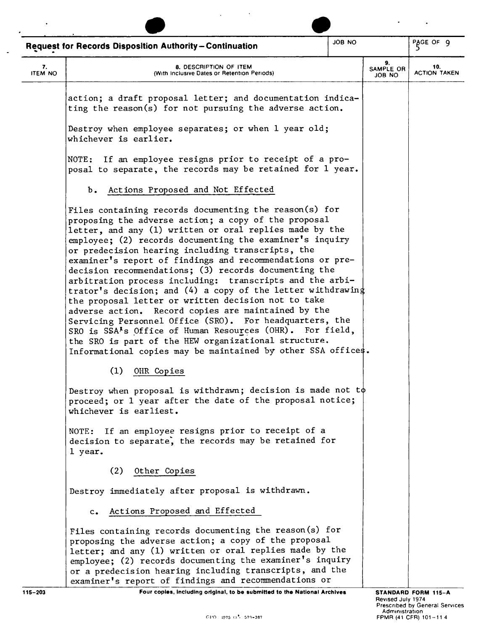|                      | <b>Request for Records Disposition Authority-Continuation</b>                                                                                                                                                                                                                                                                                                                                                                                                                                                                                                                                                                                                                                                                                                                                                                                                                                                        | JOB NO |                           | PAGE OF 9                  |
|----------------------|----------------------------------------------------------------------------------------------------------------------------------------------------------------------------------------------------------------------------------------------------------------------------------------------------------------------------------------------------------------------------------------------------------------------------------------------------------------------------------------------------------------------------------------------------------------------------------------------------------------------------------------------------------------------------------------------------------------------------------------------------------------------------------------------------------------------------------------------------------------------------------------------------------------------|--------|---------------------------|----------------------------|
| 7.<br><b>ITEM NO</b> | 8. DESCRIPTION OF ITEM<br>(With Inclusive Dates or Retention Periods)                                                                                                                                                                                                                                                                                                                                                                                                                                                                                                                                                                                                                                                                                                                                                                                                                                                |        | 9.<br>SAMPLE OR<br>ON BOL | 10.<br><b>ACTION TAKEN</b> |
|                      | action; a draft proposal letter; and documentation indica-<br>ting the reason(s) for not pursuing the adverse action.                                                                                                                                                                                                                                                                                                                                                                                                                                                                                                                                                                                                                                                                                                                                                                                                |        |                           |                            |
|                      | Destroy when employee separates; or when 1 year old;<br>whichever is earlier.                                                                                                                                                                                                                                                                                                                                                                                                                                                                                                                                                                                                                                                                                                                                                                                                                                        |        |                           |                            |
|                      | NOTE: If an employee resigns prior to receipt of a pro-<br>posal to separate, the records may be retained for 1 year.                                                                                                                                                                                                                                                                                                                                                                                                                                                                                                                                                                                                                                                                                                                                                                                                |        |                           |                            |
|                      | b. Actions Proposed and Not Effected                                                                                                                                                                                                                                                                                                                                                                                                                                                                                                                                                                                                                                                                                                                                                                                                                                                                                 |        |                           |                            |
|                      | Files containing records documenting the reason(s) for<br>proposing the adverse action; a copy of the proposal<br>letter, and any (1) written or oral replies made by the<br>employee; (2) records documenting the examiner's inquiry<br>or predecision hearing including transcripts, the<br>examiner's report of findings and recommendations or pre-<br>decision recommendations; (3) records documenting the<br>arbitration process including: transcripts and the arbi-<br>trator's decision; and (4) a copy of the letter withdrawing<br>the proposal letter or written decision not to take<br>adverse action. Record copies are maintained by the<br>Servicing Personnel Office (SRO). For headquarters, the<br>SRO is SSA <sup>'s</sup> Office of Human Resources (OHR). For field,<br>the SRO is part of the HEW organizational structure.<br>Informational copies may be maintained by other SSA offices. |        |                           |                            |
|                      | (1)<br>OHR Copies                                                                                                                                                                                                                                                                                                                                                                                                                                                                                                                                                                                                                                                                                                                                                                                                                                                                                                    |        |                           |                            |
|                      | Destroy when proposal is withdrawn; decision is made not $t\phi$<br>proceed; or 1 year after the date of the proposal notice;<br>whichever is earliest.                                                                                                                                                                                                                                                                                                                                                                                                                                                                                                                                                                                                                                                                                                                                                              |        |                           |                            |
|                      | NOTE: If an employee resigns prior to receipt of a<br>decision to separate, the records may be retained for<br>1 year.                                                                                                                                                                                                                                                                                                                                                                                                                                                                                                                                                                                                                                                                                                                                                                                               |        |                           |                            |
|                      | Other Copies<br>(2)                                                                                                                                                                                                                                                                                                                                                                                                                                                                                                                                                                                                                                                                                                                                                                                                                                                                                                  |        |                           |                            |
|                      | Destroy immediately after proposal is withdrawn.                                                                                                                                                                                                                                                                                                                                                                                                                                                                                                                                                                                                                                                                                                                                                                                                                                                                     |        |                           |                            |
|                      | Actions Proposed and Effected<br>$c_{\bullet}$                                                                                                                                                                                                                                                                                                                                                                                                                                                                                                                                                                                                                                                                                                                                                                                                                                                                       |        |                           |                            |
|                      | Files containing records documenting the reason(s) for<br>proposing the adverse action; a copy of the proposal<br>letter; and any (1) written or oral replies made by the<br>employee; (2) records documenting the examiner's inquiry<br>or a predecision hearing including transcripts, and the<br>examiner's report of findings and recommendations or                                                                                                                                                                                                                                                                                                                                                                                                                                                                                                                                                             |        |                           |                            |

 $\overline{\phantom{a}}$ 

115-203 **Four copies, Including original, to be submitted to the National Archives**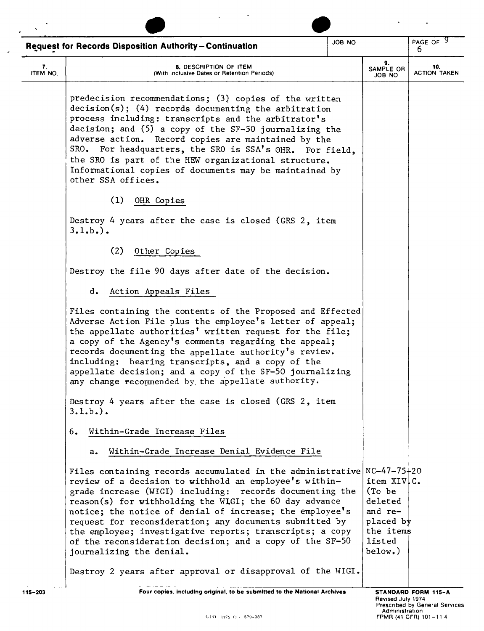| $\mathbf{v}$                                                            |                                                                                                                                                                                                                                                                                                                                                                                                                                                                                                                                     |  |                                                                                             |                                                                                |  |
|-------------------------------------------------------------------------|-------------------------------------------------------------------------------------------------------------------------------------------------------------------------------------------------------------------------------------------------------------------------------------------------------------------------------------------------------------------------------------------------------------------------------------------------------------------------------------------------------------------------------------|--|---------------------------------------------------------------------------------------------|--------------------------------------------------------------------------------|--|
| ON BOL<br><b>Request for Records Disposition Authority-Continuation</b> |                                                                                                                                                                                                                                                                                                                                                                                                                                                                                                                                     |  |                                                                                             | PAGE OF 9<br>6                                                                 |  |
| 7.<br>ITEM NO.                                                          | 8. DESCRIPTION OF ITEM<br>(With Inclusive Dates or Retention Periods)                                                                                                                                                                                                                                                                                                                                                                                                                                                               |  | 9.<br>SAMPLE OR<br>JOB NO                                                                   | 10.<br><b>ACTION TAKEN</b>                                                     |  |
|                                                                         | predecision recommendations; (3) copies of the written<br>$decision(s);$ (4) records documenting the arbitration<br>process including: transcripts and the arbitrator's<br>decision; and (5) a copy of the SF-50 journalizing the<br>adverse action. Record copies are maintained by the<br>SRO. For headquarters, the SRO is SSA's OHR. For field.<br>the SRO is part of the HEW organizational structure.<br>Informational copies of documents may be maintained by<br>other SSA offices.                                         |  |                                                                                             |                                                                                |  |
|                                                                         | (1)<br>OHR Copies                                                                                                                                                                                                                                                                                                                                                                                                                                                                                                                   |  |                                                                                             |                                                                                |  |
|                                                                         | Destroy 4 years after the case is closed (GRS 2, item<br>$3.1.b.$ .                                                                                                                                                                                                                                                                                                                                                                                                                                                                 |  |                                                                                             |                                                                                |  |
|                                                                         | (2)<br>Other Copies                                                                                                                                                                                                                                                                                                                                                                                                                                                                                                                 |  |                                                                                             |                                                                                |  |
|                                                                         | Destroy the file 90 days after date of the decision.                                                                                                                                                                                                                                                                                                                                                                                                                                                                                |  |                                                                                             |                                                                                |  |
|                                                                         | Action Appeals Files<br>d.                                                                                                                                                                                                                                                                                                                                                                                                                                                                                                          |  |                                                                                             |                                                                                |  |
|                                                                         | Files containing the contents of the Proposed and Effected<br>Adverse Action File plus the employee's letter of appeal;<br>the appellate authorities' written request for the file;<br>a copy of the Agency's comments regarding the appeal;<br>records documenting the appellate authority's review.<br>including: hearing transcripts, and a copy of the<br>appellate decision; and a copy of the SF-50 journalizing<br>any change recommended by the appellate authority.                                                        |  |                                                                                             |                                                                                |  |
|                                                                         | Destroy 4 years after the case is closed (GRS 2, item<br>$3.1.b.$ ).                                                                                                                                                                                                                                                                                                                                                                                                                                                                |  |                                                                                             |                                                                                |  |
|                                                                         | Within-Grade Increase Files<br>6.                                                                                                                                                                                                                                                                                                                                                                                                                                                                                                   |  |                                                                                             |                                                                                |  |
|                                                                         | Within-Grade Increase Denial Evidence File<br>$a_{\bullet}$                                                                                                                                                                                                                                                                                                                                                                                                                                                                         |  |                                                                                             |                                                                                |  |
|                                                                         | Files containing records accumulated in the administrative $NC-47-75+20$<br>review of a decision to withhold an employee's within-<br>grade increase (WIGI) including: records documenting the<br>reason(s) for withholding the WIGI; the 60 day advance<br>notice; the notice of denial of increase; the employee's<br>request for reconsideration; any documents submitted by<br>the employee; investigative reports; transcripts; a copy<br>of the reconsideration decision; and a copy of the SF-50<br>journalizing the denial. |  | item XIV.C.<br>(To be)<br>deleted<br>and re-<br>placed by<br>the items<br>listed<br>below.) |                                                                                |  |
|                                                                         | Destroy 2 years after approval or disapproval of the WIGI.                                                                                                                                                                                                                                                                                                                                                                                                                                                                          |  |                                                                                             |                                                                                |  |
| $115 - 203$                                                             | Four copies, including original, to be submitted to the National Archives<br>GPO 1975 O - 579-387                                                                                                                                                                                                                                                                                                                                                                                                                                   |  | Revised July 1974<br>Administration                                                         | STANDARD FORM 115-A<br>Prescribed by General Services<br>FPMR (41 CFR) 101-114 |  |

 $\ddot{\phantom{0}}$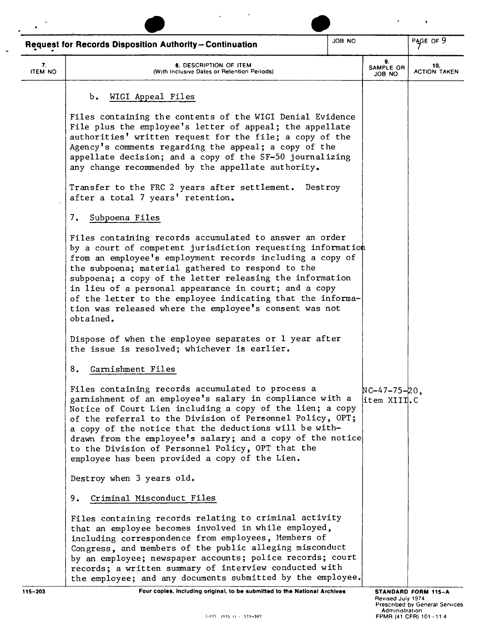|                      | <b>Request for Records Disposition Authority-Continuation</b>                                                                                                                                                                                                                                                                                                                                                                                                                                      | JOB NO |                                 | PAGE OF 9                  |
|----------------------|----------------------------------------------------------------------------------------------------------------------------------------------------------------------------------------------------------------------------------------------------------------------------------------------------------------------------------------------------------------------------------------------------------------------------------------------------------------------------------------------------|--------|---------------------------------|----------------------------|
| 7.<br><b>ITEM NO</b> | 8. DESCRIPTION OF ITEM<br>(With Inclusive Dates or Retention Periods)                                                                                                                                                                                                                                                                                                                                                                                                                              |        | 9.<br>SAMPLE OR<br>ON BOL       | 10.<br><b>ACTION TAKEN</b> |
|                      | WIGI Appeal Files<br>Ъ.                                                                                                                                                                                                                                                                                                                                                                                                                                                                            |        |                                 |                            |
|                      | Files containing the contents of the WIGI Denial Evidence<br>File plus the employee's letter of appeal; the appellate<br>authorities' written request for the file; a copy of the<br>Agency's comments regarding the appeal; a copy of the<br>appellate decision; and a copy of the SF-50 journalizing<br>any change recommended by the appellate authority.                                                                                                                                       |        |                                 |                            |
|                      | Transfer to the FRC 2 years after settlement.<br>Destroy<br>after a total 7 years' retention.                                                                                                                                                                                                                                                                                                                                                                                                      |        |                                 |                            |
|                      | 7.<br>Subpoena Files                                                                                                                                                                                                                                                                                                                                                                                                                                                                               |        |                                 |                            |
|                      | Files containing records accumulated to answer an order<br>by a court of competent jurisdiction requesting information<br>from an employee's employment records including a copy of<br>the subpoena; material gathered to respond to the<br>subpoena; a copy of the letter releasing the information<br>in lieu of a personal appearance in court; and a copy<br>of the letter to the employee indicating that the informa-<br>tion was released where the employee's consent was not<br>obtained. |        |                                 |                            |
|                      | Dispose of when the employee separates or 1 year after<br>the issue is resolved; whichever is earlier.                                                                                                                                                                                                                                                                                                                                                                                             |        |                                 |                            |
|                      | 8.<br>Garnishment Files                                                                                                                                                                                                                                                                                                                                                                                                                                                                            |        |                                 |                            |
|                      | Files containing records accumulated to process a<br>garnishment of an employee's salary in compliance with a<br>Notice of Court Lien including a copy of the lien; a copy<br>of the referral to the Division of Personnel Policy, OPT;<br>a copy of the notice that the deductions will be with-<br>drawn from the employee's salary; and a copy of the notice<br>to the Division of Personnel Policy, OPT that the<br>employee has been provided a copy of the Lien.                             |        | $NC-47-75-20$ ,<br>litem XIII.C |                            |
|                      | Destroy when 3 years old.                                                                                                                                                                                                                                                                                                                                                                                                                                                                          |        |                                 |                            |
|                      | Criminal Misconduct Files<br>9.                                                                                                                                                                                                                                                                                                                                                                                                                                                                    |        |                                 |                            |
|                      | Files containing records relating to criminal activity<br>that an employee becomes involved in while employed,<br>including correspondence from employees, Members of<br>Congress, and members of the public alleging misconduct<br>by an employee; newspaper accounts; police records; court<br>records; a written summary of interview conducted with<br>the employee; and any documents submitted by the employee.                                                                              |        |                                 |                            |
| $115 - 203$          | Four copies, including original, to be submitted to the National Archives                                                                                                                                                                                                                                                                                                                                                                                                                          |        |                                 | STANDARD FORM 115-A        |

 $\ddot{\phantom{0}}$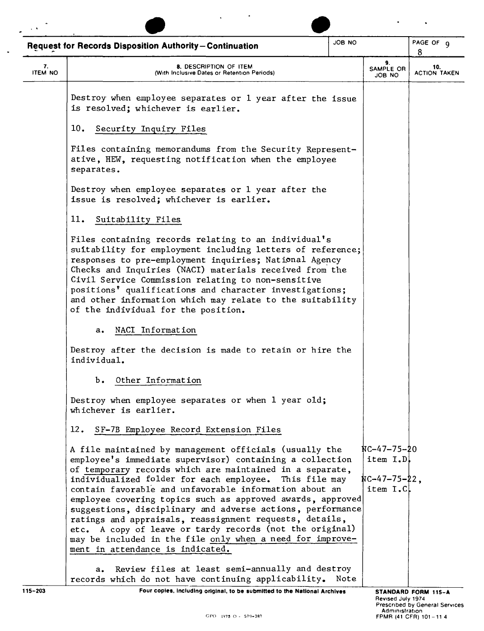|                      | JOB NO<br><b>Request for Records Disposition Authority-Continuation</b>                                                                                                                                                                                                                                                                                                                                                                                                                                                                                                                                                                                |  |                                                         | PAGE OF 9<br>8             |
|----------------------|--------------------------------------------------------------------------------------------------------------------------------------------------------------------------------------------------------------------------------------------------------------------------------------------------------------------------------------------------------------------------------------------------------------------------------------------------------------------------------------------------------------------------------------------------------------------------------------------------------------------------------------------------------|--|---------------------------------------------------------|----------------------------|
| 7.<br><b>ITEM NO</b> | 8. DESCRIPTION OF ITEM<br>(With Inclusive Dates or Retention Periods)                                                                                                                                                                                                                                                                                                                                                                                                                                                                                                                                                                                  |  | 9.<br>SAMPLE OR<br>ON BOL                               | 10.<br><b>ACTION TAKEN</b> |
|                      | Destroy when employee separates or 1 year after the issue<br>is resolved; whichever is earlier.                                                                                                                                                                                                                                                                                                                                                                                                                                                                                                                                                        |  |                                                         |                            |
|                      | 10.<br>Security Inquiry Files                                                                                                                                                                                                                                                                                                                                                                                                                                                                                                                                                                                                                          |  |                                                         |                            |
|                      | Files containing memorandums from the Security Represent-<br>ative, HEW, requesting notification when the employee<br>separates.                                                                                                                                                                                                                                                                                                                                                                                                                                                                                                                       |  |                                                         |                            |
|                      | Destroy when employee separates or 1 year after the<br>issue is resolved; whichever is earlier.                                                                                                                                                                                                                                                                                                                                                                                                                                                                                                                                                        |  |                                                         |                            |
|                      | 11.<br>Suitability Files                                                                                                                                                                                                                                                                                                                                                                                                                                                                                                                                                                                                                               |  |                                                         |                            |
|                      | Files containing records relating to an individual's<br>suitability for employment including letters of reference;<br>responses to pre-employment inquiries; National Agency<br>Checks and Inquiries (NACI) materials received from the<br>Civil Service Commission relating to non-sensitive<br>positions <sup>t</sup> qualifications and character investigations;<br>and other information which may relate to the suitability<br>of the individual for the position.                                                                                                                                                                               |  |                                                         |                            |
|                      | NACI Information<br>$a_{\bullet}$                                                                                                                                                                                                                                                                                                                                                                                                                                                                                                                                                                                                                      |  |                                                         |                            |
|                      | Destroy after the decision is made to retain or hire the<br>individual.                                                                                                                                                                                                                                                                                                                                                                                                                                                                                                                                                                                |  |                                                         |                            |
|                      | $b$ .<br>Other Information                                                                                                                                                                                                                                                                                                                                                                                                                                                                                                                                                                                                                             |  |                                                         |                            |
|                      | Destroy when employee separates or when 1 year old;<br>whichever is earlier.                                                                                                                                                                                                                                                                                                                                                                                                                                                                                                                                                                           |  |                                                         |                            |
|                      | 12.<br>SF-7B Employee Record Extension Files                                                                                                                                                                                                                                                                                                                                                                                                                                                                                                                                                                                                           |  |                                                         |                            |
|                      | A file maintained by management officials (usually the<br>employee's immediate supervisor) containing a collection<br>of temporary records which are maintained in a separate,<br>individualized folder for each employee. This file may<br>contain favorable and unfavorable information about an<br>employee covering topics such as approved awards, approved<br>suggestions, disciplinary and adverse actions, performance<br>ratings and appraisals, reassignment requests, details,<br>etc. A copy of leave or tardy records (not the original)<br>may be included in the file only when a need for improve-<br>ment in attendance is indicated. |  | $NC-47-75-20$<br>item I.D.<br>NC-47-75-22,<br>item I.C. |                            |
|                      | Review files at least semi-annually and destroy<br>$a_{\bullet}$<br>records which do not have continuing applicability. Note                                                                                                                                                                                                                                                                                                                                                                                                                                                                                                                           |  |                                                         |                            |
| 115-203              | Four copies, including original, to be submitted to the National Archives                                                                                                                                                                                                                                                                                                                                                                                                                                                                                                                                                                              |  |                                                         | STANDARD FORM 115-A        |

 $\ddot{\phantom{a}}$